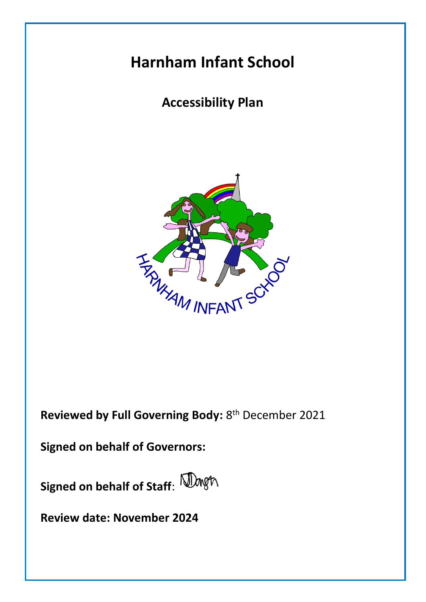# **Harnham Infant School**

# **Accessibility Plan**



Reviewed by Full Governing Body: 8<sup>th</sup> December 2021

**Signed on behalf of Governors:**

**Signed on behalf of Staff**:

**Review date: November 2024**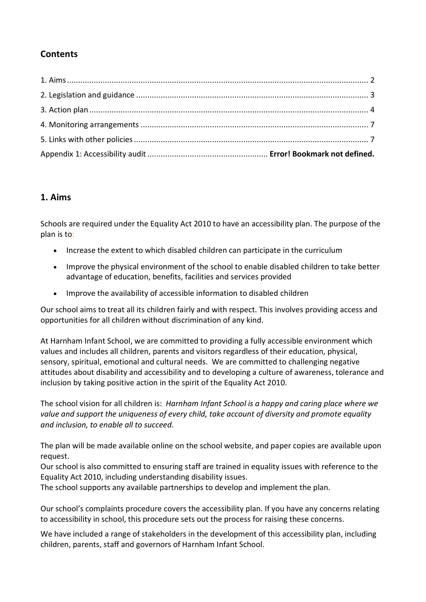#### **Contents**

#### **1. Aims**

Schools are required under the Equality Act 2010 to have an accessibility plan. The purpose of the plan is to:

- Increase the extent to which disabled children can participate in the curriculum
- Improve the physical environment of the school to enable disabled children to take better advantage of education, benefits, facilities and services provided
- Improve the availability of accessible information to disabled children

Our school aims to treat all its children fairly and with respect. This involves providing access and opportunities for all children without discrimination of any kind.

At Harnham Infant School, we are committed to providing a fully accessible environment which values and includes all children, parents and visitors regardless of their education, physical, sensory, spiritual, emotional and cultural needs. We are committed to challenging negative attitudes about disability and accessibility and to developing a culture of awareness, tolerance and inclusion by taking positive action in the spirit of the Equality Act 2010.

The school vision for all children is: *Harnham Infant School is a happy and caring place where we value and support the uniqueness of every child, take account of diversity and promote equality and inclusion, to enable all to succeed.*

The plan will be made available online on the school website, and paper copies are available upon request.

Our school is also committed to ensuring staff are trained in equality issues with reference to the Equality Act 2010, including understanding disability issues.

The school supports any available partnerships to develop and implement the plan.

Our school's complaints procedure covers the accessibility plan. If you have any concerns relating to accessibility in school, this procedure sets out the process for raising these concerns.

We have included a range of stakeholders in the development of this accessibility plan, including children, parents, staff and governors of Harnham Infant School.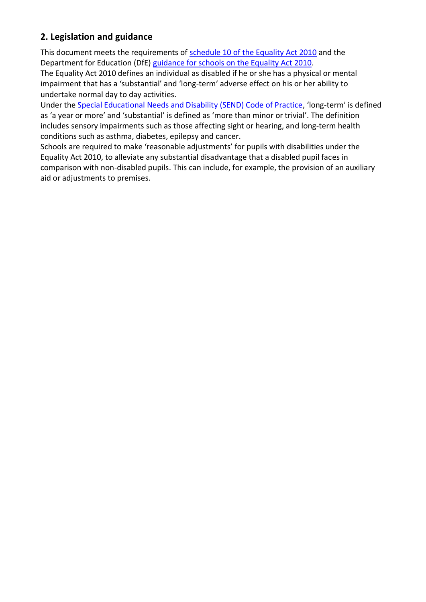## **2. Legislation and guidance**

This document meets the requirements of [schedule 10 of the Equality Act 2010](http://www.legislation.gov.uk/ukpga/2010/15/schedule/10) and the Department for Education (DfE) [guidance for schools on the Equality Act 2010.](https://www.gov.uk/government/publications/equality-act-2010-advice-for-schools)

The Equality Act 2010 defines an individual as disabled if he or she has a physical or mental impairment that has a 'substantial' and 'long-term' adverse effect on his or her ability to undertake normal day to day activities.

Under the [Special Educational Needs and Disability \(SEND\) Code of Practice](https://www.gov.uk/government/publications/send-code-of-practice-0-to-25), 'long-term' is defined as 'a year or more' and 'substantial' is defined as 'more than minor or trivial'. The definition includes sensory impairments such as those affecting sight or hearing, and long-term health conditions such as asthma, diabetes, epilepsy and cancer.

Schools are required to make 'reasonable adjustments' for pupils with disabilities under the Equality Act 2010, to alleviate any substantial disadvantage that a disabled pupil faces in comparison with non-disabled pupils. This can include, for example, the provision of an auxiliary aid or adjustments to premises.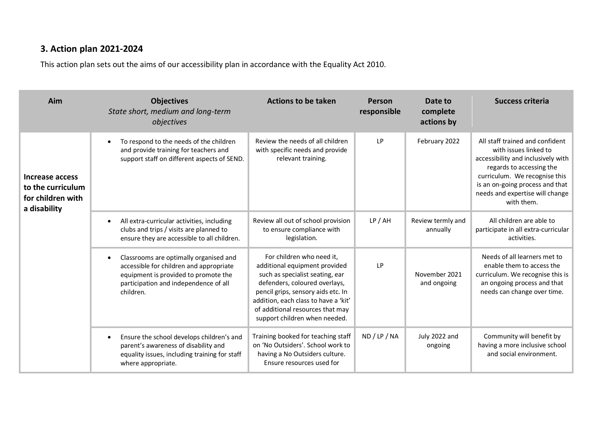## **3. Action plan 2021-2024**

This action plan sets out the aims of our accessibility plan in accordance with the Equality Act 2010.

| Aim                                                                       | <b>Objectives</b><br>State short, medium and long-term<br>objectives                                                                                                            | <b>Actions to be taken</b>                                                                                                                                                                                                                                                        | Person<br>responsible | Date to<br>complete<br>actions by | <b>Success criteria</b>                                                                                                                                                                                                                         |
|---------------------------------------------------------------------------|---------------------------------------------------------------------------------------------------------------------------------------------------------------------------------|-----------------------------------------------------------------------------------------------------------------------------------------------------------------------------------------------------------------------------------------------------------------------------------|-----------------------|-----------------------------------|-------------------------------------------------------------------------------------------------------------------------------------------------------------------------------------------------------------------------------------------------|
| Increase access<br>to the curriculum<br>for children with<br>a disability | To respond to the needs of the children<br>and provide training for teachers and<br>support staff on different aspects of SEND.                                                 | Review the needs of all children<br>with specific needs and provide<br>relevant training.                                                                                                                                                                                         | P                     | February 2022                     | All staff trained and confident<br>with issues linked to<br>accessibility and inclusively with<br>regards to accessing the<br>curriculum. We recognise this<br>is an on-going process and that<br>needs and expertise will change<br>with them. |
|                                                                           | All extra-curricular activities, including<br>clubs and trips / visits are planned to<br>ensure they are accessible to all children.                                            | Review all out of school provision<br>to ensure compliance with<br>legislation.                                                                                                                                                                                                   | LP / AH               | Review termly and<br>annually     | All children are able to<br>participate in all extra-curricular<br>activities.                                                                                                                                                                  |
|                                                                           | Classrooms are optimally organised and<br>accessible for children and appropriate<br>equipment is provided to promote the<br>participation and independence of all<br>children. | For children who need it,<br>additional equipment provided<br>such as specialist seating, ear<br>defenders, coloured overlays,<br>pencil grips, sensory aids etc. In<br>addition, each class to have a 'kit'<br>of additional resources that may<br>support children when needed. | <b>LP</b>             | November 2021<br>and ongoing      | Needs of all learners met to<br>enable them to access the<br>curriculum. We recognise this is<br>an ongoing process and that<br>needs can change over time.                                                                                     |
|                                                                           | Ensure the school develops children's and<br>parent's awareness of disability and<br>equality issues, including training for staff<br>where appropriate.                        | Training booked for teaching staff<br>on 'No Outsiders'. School work to<br>having a No Outsiders culture.<br>Ensure resources used for                                                                                                                                            | ND / LP / NA          | July 2022 and<br>ongoing          | Community will benefit by<br>having a more inclusive school<br>and social environment.                                                                                                                                                          |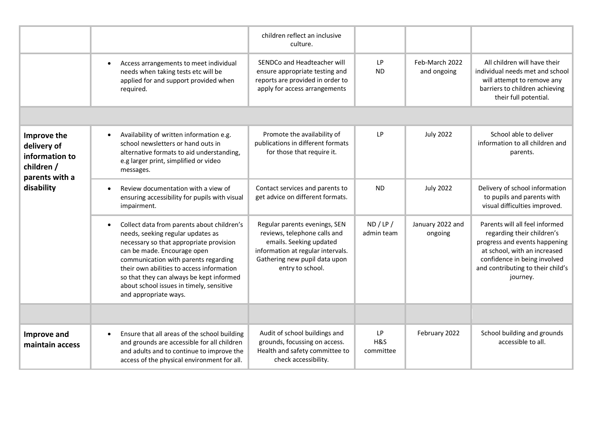|                                                                                            |                                                                                                                                                                                                                                                                                                                                                                 | children reflect an inclusive<br>culture.                                                                                                                                          |                         |                               |                                                                                                                                                                                                                |
|--------------------------------------------------------------------------------------------|-----------------------------------------------------------------------------------------------------------------------------------------------------------------------------------------------------------------------------------------------------------------------------------------------------------------------------------------------------------------|------------------------------------------------------------------------------------------------------------------------------------------------------------------------------------|-------------------------|-------------------------------|----------------------------------------------------------------------------------------------------------------------------------------------------------------------------------------------------------------|
|                                                                                            | Access arrangements to meet individual<br>needs when taking tests etc will be<br>applied for and support provided when<br>required.                                                                                                                                                                                                                             | SENDCo and Headteacher will<br>ensure appropriate testing and<br>reports are provided in order to<br>apply for access arrangements                                                 | LP<br>ND.               | Feb-March 2022<br>and ongoing | All children will have their<br>individual needs met and school<br>will attempt to remove any<br>barriers to children achieving<br>their full potential.                                                       |
|                                                                                            |                                                                                                                                                                                                                                                                                                                                                                 |                                                                                                                                                                                    |                         |                               |                                                                                                                                                                                                                |
| Improve the<br>delivery of<br>information to<br>children /<br>parents with a<br>disability | Availability of written information e.g.<br>school newsletters or hand outs in<br>alternative formats to aid understanding,<br>e.g larger print, simplified or video<br>messages.                                                                                                                                                                               | Promote the availability of<br>publications in different formats<br>for those that require it.                                                                                     | <b>LP</b>               | <b>July 2022</b>              | School able to deliver<br>information to all children and<br>parents.                                                                                                                                          |
|                                                                                            | Review documentation with a view of<br>ensuring accessibility for pupils with visual<br>impairment.                                                                                                                                                                                                                                                             | Contact services and parents to<br>get advice on different formats.                                                                                                                | <b>ND</b>               | <b>July 2022</b>              | Delivery of school information<br>to pupils and parents with<br>visual difficulties improved.                                                                                                                  |
|                                                                                            | Collect data from parents about children's<br>needs, seeking regular updates as<br>necessary so that appropriate provision<br>can be made. Encourage open<br>communication with parents regarding<br>their own abilities to access information<br>so that they can always be kept informed<br>about school issues in timely, sensitive<br>and appropriate ways. | Regular parents evenings, SEN<br>reviews, telephone calls and<br>emails. Seeking updated<br>information at regular intervals.<br>Gathering new pupil data upon<br>entry to school. | ND / LP /<br>admin team | January 2022 and<br>ongoing   | Parents will all feel informed<br>regarding their children's<br>progress and events happening<br>at school, with an increased<br>confidence in being involved<br>and contributing to their child's<br>journey. |
|                                                                                            |                                                                                                                                                                                                                                                                                                                                                                 |                                                                                                                                                                                    |                         |                               |                                                                                                                                                                                                                |
| <b>Improve and</b><br>maintain access                                                      | Ensure that all areas of the school building<br>and grounds are accessible for all children<br>and adults and to continue to improve the<br>access of the physical environment for all.                                                                                                                                                                         | Audit of school buildings and<br>grounds, focussing on access.<br>Health and safety committee to<br>check accessibility.                                                           | LP<br>H&S<br>committee  | February 2022                 | School building and grounds<br>accessible to all.                                                                                                                                                              |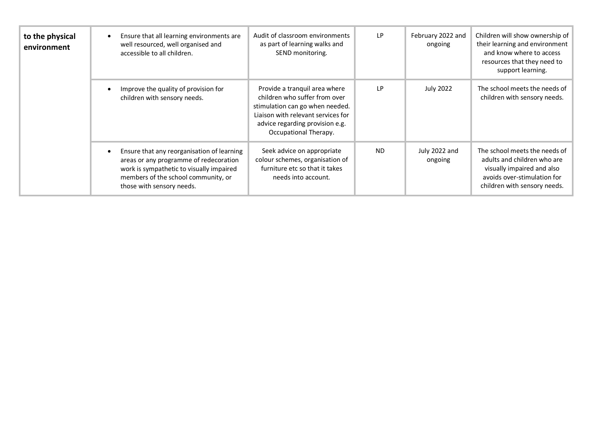| to the physical<br>environment | Ensure that all learning environments are<br>well resourced, well organised and<br>accessible to all children.                                                                                       | Audit of classroom environments<br>as part of learning walks and<br>SEND monitoring.                                                                                                                | LP.       | February 2022 and<br>ongoing | Children will show ownership of<br>their learning and environment<br>and know where to access<br>resources that they need to<br>support learning.         |
|--------------------------------|------------------------------------------------------------------------------------------------------------------------------------------------------------------------------------------------------|-----------------------------------------------------------------------------------------------------------------------------------------------------------------------------------------------------|-----------|------------------------------|-----------------------------------------------------------------------------------------------------------------------------------------------------------|
|                                | Improve the quality of provision for<br>children with sensory needs.                                                                                                                                 | Provide a tranquil area where<br>children who suffer from over<br>stimulation can go when needed.<br>Liaison with relevant services for<br>advice regarding provision e.g.<br>Occupational Therapy. | LP        | <b>July 2022</b>             | The school meets the needs of<br>children with sensory needs.                                                                                             |
|                                | Ensure that any reorganisation of learning<br>areas or any programme of redecoration<br>work is sympathetic to visually impaired<br>members of the school community, or<br>those with sensory needs. | Seek advice on appropriate<br>colour schemes, organisation of<br>furniture etc so that it takes<br>needs into account.                                                                              | <b>ND</b> | July 2022 and<br>ongoing     | The school meets the needs of<br>adults and children who are<br>visually impaired and also<br>avoids over-stimulation for<br>children with sensory needs. |